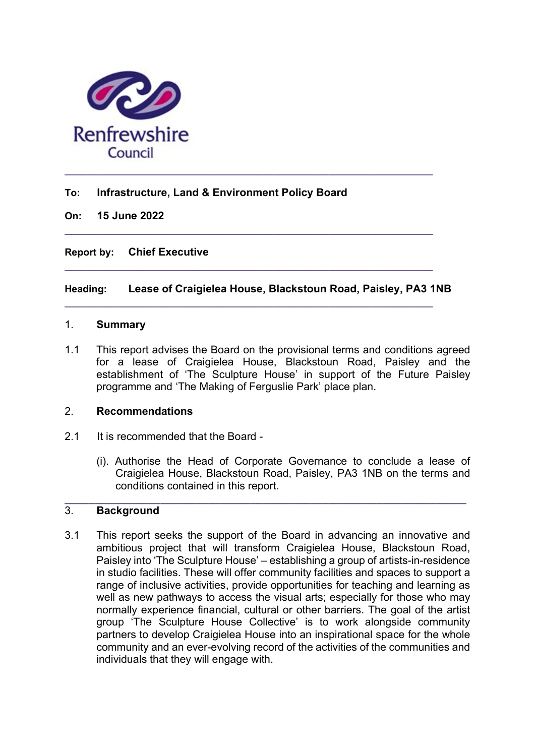

# To: Infrastructure, Land & Environment Policy Board

On: 15 June 2022

Report by: Chief Executive

Heading: Lease of Craigielea House, Blackstoun Road, Paisley, PA3 1NB

 $\_$  , and the set of the set of the set of the set of the set of the set of the set of the set of the set of the set of the set of the set of the set of the set of the set of the set of the set of the set of the set of th

 $\_$  , and the set of the set of the set of the set of the set of the set of the set of the set of the set of the set of the set of the set of the set of the set of the set of the set of the set of the set of the set of th

 $\_$  , and the set of the set of the set of the set of the set of the set of the set of the set of the set of the set of the set of the set of the set of the set of the set of the set of the set of the set of the set of th

### 1. Summary

1.1 This report advises the Board on the provisional terms and conditions agreed for a lease of Craigielea House, Blackstoun Road, Paisley and the establishment of 'The Sculpture House' in support of the Future Paisley programme and 'The Making of Ferguslie Park' place plan.

## 2. Recommendations

- 2.1 It is recommended that the Board -
	- (i). Authorise the Head of Corporate Governance to conclude a lease of Craigielea House, Blackstoun Road, Paisley, PA3 1NB on the terms and conditions contained in this report.

## 3. Background

3.1 This report seeks the support of the Board in advancing an innovative and ambitious project that will transform Craigielea House, Blackstoun Road, Paisley into 'The Sculpture House' – establishing a group of artists-in-residence in studio facilities. These will offer community facilities and spaces to support a range of inclusive activities, provide opportunities for teaching and learning as well as new pathways to access the visual arts; especially for those who may normally experience financial, cultural or other barriers. The goal of the artist group 'The Sculpture House Collective' is to work alongside community partners to develop Craigielea House into an inspirational space for the whole community and an ever-evolving record of the activities of the communities and individuals that they will engage with.

 $\_$  ,  $\_$  ,  $\_$  ,  $\_$  ,  $\_$  ,  $\_$  ,  $\_$  ,  $\_$  ,  $\_$  ,  $\_$  ,  $\_$  ,  $\_$  ,  $\_$  ,  $\_$  ,  $\_$  ,  $\_$  ,  $\_$  ,  $\_$  ,  $\_$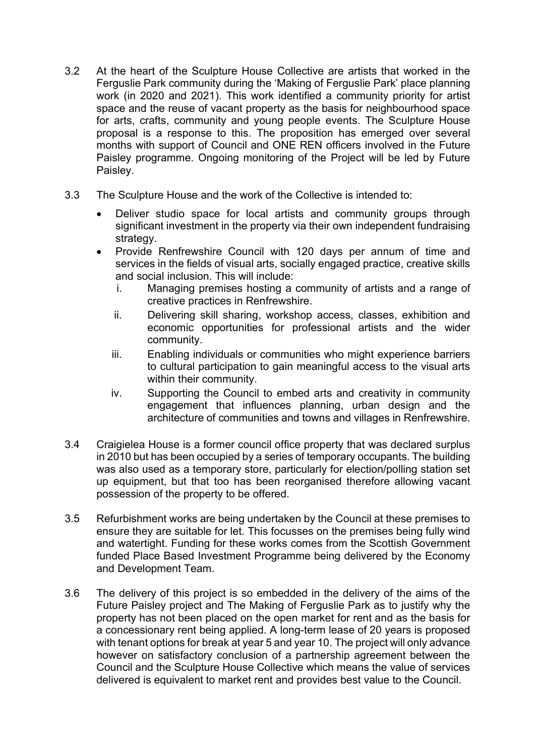- 3.2 At the heart of the Sculpture House Collective are artists that worked in the Ferguslie Park community during the 'Making of Ferguslie Park' place planning work (in 2020 and 2021). This work identified a community priority for artist space and the reuse of vacant property as the basis for neighbourhood space for arts, crafts, community and young people events. The Sculpture House proposal is a response to this. The proposition has emerged over several months with support of Council and ONE REN officers involved in the Future Paisley programme. Ongoing monitoring of the Project will be led by Future Paisley.
- 3.3 The Sculpture House and the work of the Collective is intended to:
	- Deliver studio space for local artists and community groups through significant investment in the property via their own independent fundraising strategy.
	- Provide Renfrewshire Council with 120 days per annum of time and services in the fields of visual arts, socially engaged practice, creative skills and social inclusion. This will include:
		- i. Managing premises hosting a community of artists and a range of creative practices in Renfrewshire.
		- ii. Delivering skill sharing, workshop access, classes, exhibition and economic opportunities for professional artists and the wider community.
		- iii. Enabling individuals or communities who might experience barriers to cultural participation to gain meaningful access to the visual arts within their community.
		- iv. Supporting the Council to embed arts and creativity in community engagement that influences planning, urban design and the architecture of communities and towns and villages in Renfrewshire.
- 3.4 Craigielea House is a former council office property that was declared surplus in 2010 but has been occupied by a series of temporary occupants. The building was also used as a temporary store, particularly for election/polling station set up equipment, but that too has been reorganised therefore allowing vacant possession of the property to be offered.
- 3.5 Refurbishment works are being undertaken by the Council at these premises to ensure they are suitable for let. This focusses on the premises being fully wind and watertight. Funding for these works comes from the Scottish Government funded Place Based Investment Programme being delivered by the Economy and Development Team.
- 3.6 The delivery of this project is so embedded in the delivery of the aims of the Future Paisley project and The Making of Ferguslie Park as to justify why the property has not been placed on the open market for rent and as the basis for a concessionary rent being applied. A long-term lease of 20 years is proposed with tenant options for break at year 5 and year 10. The project will only advance however on satisfactory conclusion of a partnership agreement between the Council and the Sculpture House Collective which means the value of services delivered is equivalent to market rent and provides best value to the Council.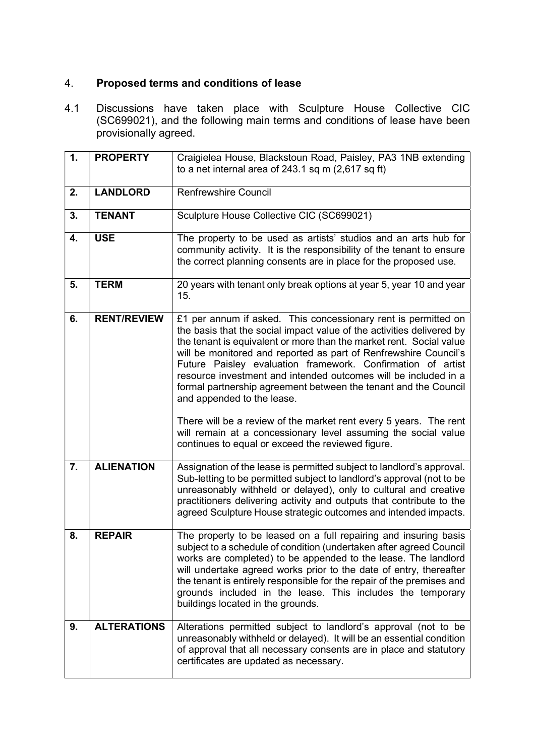# 4. Proposed terms and conditions of lease

4.1 Discussions have taken place with Sculpture House Collective CIC (SC699021), and the following main terms and conditions of lease have been provisionally agreed.

| 1. | <b>PROPERTY</b>    | Craigielea House, Blackstoun Road, Paisley, PA3 1NB extending<br>to a net internal area of 243.1 sq m $(2,617 \text{ sq ft})$                                                                                                                                                                                                                                                                                                                                                                                                                                                                                                                                                                                     |
|----|--------------------|-------------------------------------------------------------------------------------------------------------------------------------------------------------------------------------------------------------------------------------------------------------------------------------------------------------------------------------------------------------------------------------------------------------------------------------------------------------------------------------------------------------------------------------------------------------------------------------------------------------------------------------------------------------------------------------------------------------------|
| 2. | <b>LANDLORD</b>    | <b>Renfrewshire Council</b>                                                                                                                                                                                                                                                                                                                                                                                                                                                                                                                                                                                                                                                                                       |
| 3. | <b>TENANT</b>      | Sculpture House Collective CIC (SC699021)                                                                                                                                                                                                                                                                                                                                                                                                                                                                                                                                                                                                                                                                         |
| 4. | <b>USE</b>         | The property to be used as artists' studios and an arts hub for<br>community activity. It is the responsibility of the tenant to ensure<br>the correct planning consents are in place for the proposed use.                                                                                                                                                                                                                                                                                                                                                                                                                                                                                                       |
| 5. | <b>TERM</b>        | 20 years with tenant only break options at year 5, year 10 and year<br>15.                                                                                                                                                                                                                                                                                                                                                                                                                                                                                                                                                                                                                                        |
| 6. | <b>RENT/REVIEW</b> | £1 per annum if asked. This concessionary rent is permitted on<br>the basis that the social impact value of the activities delivered by<br>the tenant is equivalent or more than the market rent. Social value<br>will be monitored and reported as part of Renfrewshire Council's<br>Future Paisley evaluation framework. Confirmation of artist<br>resource investment and intended outcomes will be included in a<br>formal partnership agreement between the tenant and the Council<br>and appended to the lease.<br>There will be a review of the market rent every 5 years. The rent<br>will remain at a concessionary level assuming the social value<br>continues to equal or exceed the reviewed figure. |
| 7. | <b>ALIENATION</b>  | Assignation of the lease is permitted subject to landlord's approval.<br>Sub-letting to be permitted subject to landlord's approval (not to be<br>unreasonably withheld or delayed), only to cultural and creative<br>practitioners delivering activity and outputs that contribute to the<br>agreed Sculpture House strategic outcomes and intended impacts.                                                                                                                                                                                                                                                                                                                                                     |
| 8. | <b>REPAIR</b>      | The property to be leased on a full repairing and insuring basis<br>subject to a schedule of condition (undertaken after agreed Council<br>works are completed) to be appended to the lease. The landlord<br>will undertake agreed works prior to the date of entry, thereafter<br>the tenant is entirely responsible for the repair of the premises and<br>grounds included in the lease. This includes the temporary<br>buildings located in the grounds.                                                                                                                                                                                                                                                       |
| 9. | <b>ALTERATIONS</b> | Alterations permitted subject to landlord's approval (not to be<br>unreasonably withheld or delayed). It will be an essential condition<br>of approval that all necessary consents are in place and statutory<br>certificates are updated as necessary.                                                                                                                                                                                                                                                                                                                                                                                                                                                           |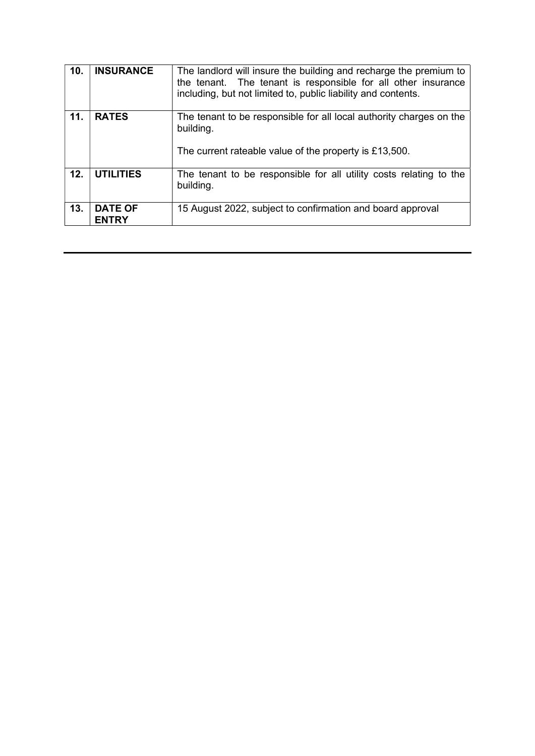| 10 <sub>1</sub> | <b>INSURANCE</b>               | The landlord will insure the building and recharge the premium to<br>the tenant. The tenant is responsible for all other insurance<br>including, but not limited to, public liability and contents. |
|-----------------|--------------------------------|-----------------------------------------------------------------------------------------------------------------------------------------------------------------------------------------------------|
| 11.             | <b>RATES</b>                   | The tenant to be responsible for all local authority charges on the<br>building.<br>The current rateable value of the property is £13,500.                                                          |
| 12.             | <b>UTILITIES</b>               | The tenant to be responsible for all utility costs relating to the<br>building.                                                                                                                     |
| 13.             | <b>DATE OF</b><br><b>ENTRY</b> | 15 August 2022, subject to confirmation and board approval                                                                                                                                          |